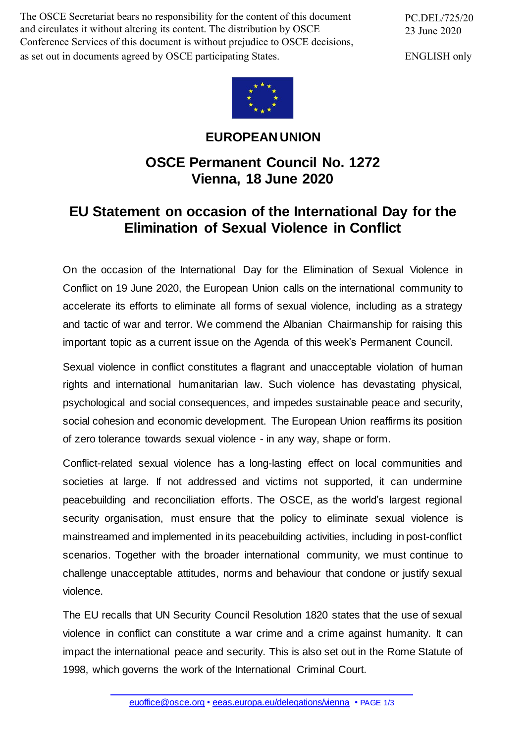The OSCE Secretariat bears no responsibility for the content of this document and circulates it without altering its content. The distribution by OSCE Conference Services of this document is without prejudice to OSCE decisions, as set out in documents agreed by OSCE participating States.

PC.DEL/725/20 23 June 2020

ENGLISH only



## **EUROPEAN UNION**

## **OSCE Permanent Council No. 1272 Vienna, 18 June 2020**

## **EU Statement on occasion of the International Day for the Elimination of Sexual Violence in Conflict**

On the occasion of the International Day for the Elimination of Sexual Violence in Conflict on 19 June 2020, the European Union calls on the international community to accelerate its efforts to eliminate all forms of sexual violence, including as a strategy and tactic of war and terror. We commend the Albanian Chairmanship for raising this important topic as a current issue on the Agenda of this week's Permanent Council.

Sexual violence in conflict constitutes a flagrant and unacceptable violation of human rights and international humanitarian law. Such violence has devastating physical, psychological and social consequences, and impedes sustainable peace and security, social cohesion and economic development. The European Union reaffirms its position of zero tolerance towards sexual violence - in any way, shape or form.

Conflict-related sexual violence has a long-lasting effect on local communities and societies at large. If not addressed and victims not supported, it can undermine peacebuilding and reconciliation efforts. The OSCE, as the world's largest regional security organisation, must ensure that the policy to eliminate sexual violence is mainstreamed and implemented in its peacebuilding activities, including in post-conflict scenarios. Together with the broader international community, we must continue to challenge unacceptable attitudes, norms and behaviour that condone or justify sexual violence.

The EU recalls that UN Security Council Resolution 1820 states that the use of sexual violence in conflict can constitute a war crime and a crime against humanity. It can impact the international peace and security. This is also set out in the Rome Statute of 1998, which governs the work of the International Criminal Court.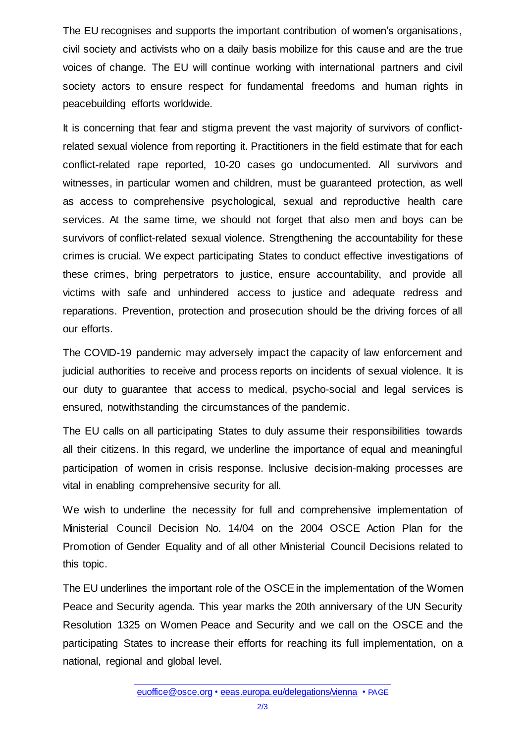The EU recognises and supports the important contribution of women's organisations, civil society and activists who on a daily basis mobilize for this cause and are the true voices of change. The EU will continue working with international partners and civil society actors to ensure respect for fundamental freedoms and human rights in peacebuilding efforts worldwide.

It is concerning that fear and stigma prevent the vast majority of survivors of conflictrelated sexual violence from reporting it. Practitioners in the field estimate that for each conflict-related rape reported, 10-20 cases go undocumented. All survivors and witnesses, in particular women and children, must be guaranteed protection, as well as access to comprehensive psychological, sexual and reproductive health care services. At the same time, we should not forget that also men and boys can be survivors of conflict-related sexual violence. Strengthening the accountability for these crimes is crucial. We expect participating States to conduct effective investigations of these crimes, bring perpetrators to justice, ensure accountability, and provide all victims with safe and unhindered access to justice and adequate redress and reparations. Prevention, protection and prosecution should be the driving forces of all our efforts.

The COVID-19 pandemic may adversely impact the capacity of law enforcement and judicial authorities to receive and process reports on incidents of sexual violence. It is our duty to guarantee that access to medical, psycho-social and legal services is ensured, notwithstanding the circumstances of the pandemic.

The EU calls on all participating States to duly assume their responsibilities towards all their citizens. In this regard, we underline the importance of equal and meaningful participation of women in crisis response. Inclusive decision-making processes are vital in enabling comprehensive security for all.

We wish to underline the necessity for full and comprehensive implementation of Ministerial Council Decision No. 14/04 on the 2004 OSCE Action Plan for the Promotion of Gender Equality and of all other Ministerial Council Decisions related to this topic.

The EU underlines the important role of the OSCE in the implementation of the Women Peace and Security agenda. This year marks the 20th anniversary of the UN Security Resolution 1325 on Women Peace and Security and we call on the OSCE and the participating States to increase their efforts for reaching its full implementation, on a national, regional and global level.